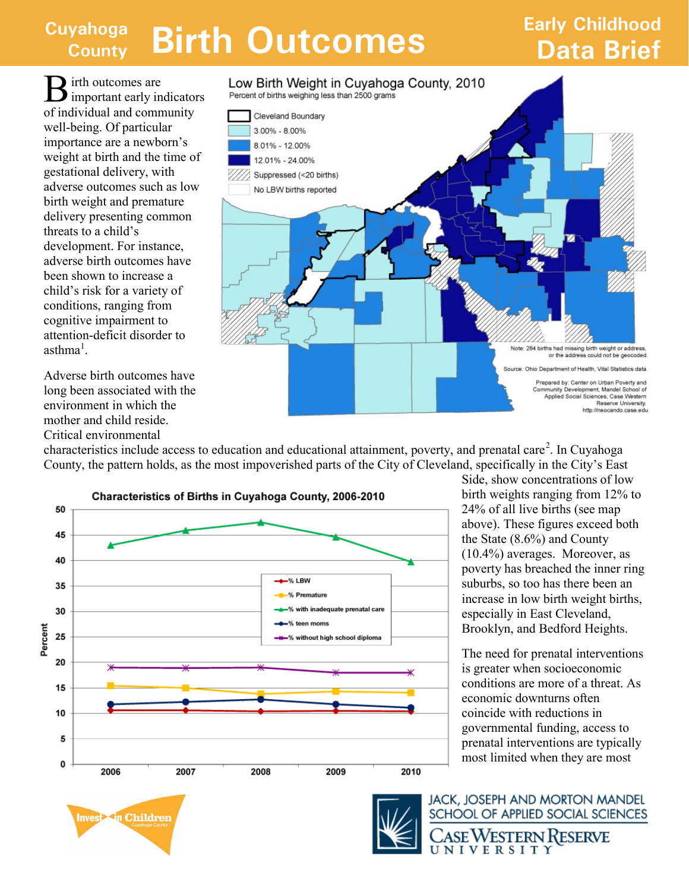## **Cuyahoga County Birth Outcomes Data Brief**

## **Early Childhood**

**B** irth outcomes are<br>important early indicators **I** irth outcomes are of individual and community well-being. Of particular importance are a newborn's weight at birth and the time of gestational delivery, with adverse outcomes such as low birth weight and premature delivery presenting common threats to a child's development. For instance, adverse birth outcomes have been shown to increase a child's risk for a variety of conditions, ranging from cognitive impairment to attention-deficit disorder to  $a$ sthma<sup>1</sup>.

Adverse birth outcomes have long been associated with the environment in which the mother and child reside. Critical environmental

Percent of births weighing less than 2500 grams Cleveland Boundary 3.00% - 8.00% 8.01% - 12.00% 12.01% - 24.00% Suppressed (<20 births) No LBW births reported Note: 284 births had missing birth weight or address or the address could not be geocoded Source: Ohio Department of Health, Vital Statistics data. Prepared by: Center on Urban Poverty and Community Development, Mandel School of Applied Social Sciences, Case Western<br>Reserve University, http://neocando.case.edu

characteristics include access to education and educational attainment, poverty, and prenatal care<sup>2</sup>. In Cuyahoga County, the pattern holds, as the most impoverished parts of the City of Cleveland, specifically in the City's East

Low Birth Weight in Cuyahoga County, 2010



Side, show concentrations of low birth weights ranging from 12% to 24% of all live births (see map above). These figures exceed both the State (8.6%) and County (10.4%) averages. Moreover, as poverty has breached the inner ring suburbs, so too has there been an increase in low birth weight births, especially in East Cleveland, Brooklyn, and Bedford Heights.

The need for prenatal interventions is greater when socioeconomic conditions are more of a threat. As economic downturns often coincide with reductions in governmental funding, access to prenatal interventions are typically most limited when they are most





JACK, JOSEPH AND MORTON MANDEL SCHOOL OF APPLIED SOCIAL SCIENCES ase Western Reserve UNIVERSITY